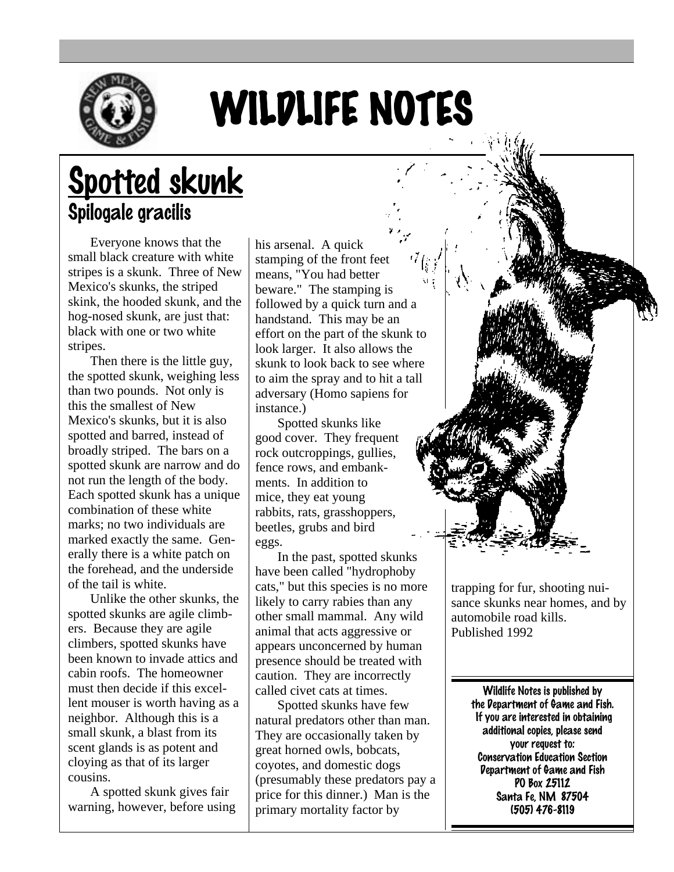

## WILDLIFE NOTES

## Spotted skunk Spilogale gracilis

Everyone knows that the small black creature with white stripes is a skunk. Three of New Mexico's skunks, the striped skink, the hooded skunk, and the hog-nosed skunk, are just that: black with one or two white stripes.

Then there is the little guy, the spotted skunk, weighing less than two pounds. Not only is this the smallest of New Mexico's skunks, but it is also spotted and barred, instead of broadly striped. The bars on a spotted skunk are narrow and do not run the length of the body. Each spotted skunk has a unique combination of these white marks; no two individuals are marked exactly the same. Generally there is a white patch on the forehead, and the underside of the tail is white.

Unlike the other skunks, the spotted skunks are agile climbers. Because they are agile climbers, spotted skunks have been known to invade attics and cabin roofs. The homeowner must then decide if this excellent mouser is worth having as a neighbor. Although this is a small skunk, a blast from its scent glands is as potent and cloying as that of its larger cousins.

A spotted skunk gives fair warning, however, before using his arsenal. A quick stamping of the front feet means, "You had better beware." The stamping is followed by a quick turn and a handstand. This may be an effort on the part of the skunk to look larger. It also allows the skunk to look back to see where to aim the spray and to hit a tall adversary (Homo sapiens for instance.)

Spotted skunks like good cover. They frequent rock outcroppings, gullies, fence rows, and embankments. In addition to mice, they eat young rabbits, rats, grasshoppers, beetles, grubs and bird eggs.

In the past, spotted skunks have been called "hydrophoby cats," but this species is no more likely to carry rabies than any other small mammal. Any wild animal that acts aggressive or appears unconcerned by human presence should be treated with caution. They are incorrectly called civet cats at times.

Spotted skunks have few natural predators other than man. They are occasionally taken by great horned owls, bobcats, coyotes, and domestic dogs (presumably these predators pay a price for this dinner.) Man is the primary mortality factor by

trapping for fur, shooting nuisance skunks near homes, and by automobile road kills. Published 1992

> Wildlife Notes is published by the Department of Game and Fish. If you are interested in obtaining additional copies, please send your request to: Conservation Education Section Department of Game and Fish PO Box 25112 Santa Fe, NM 87504 (505) 476-8119